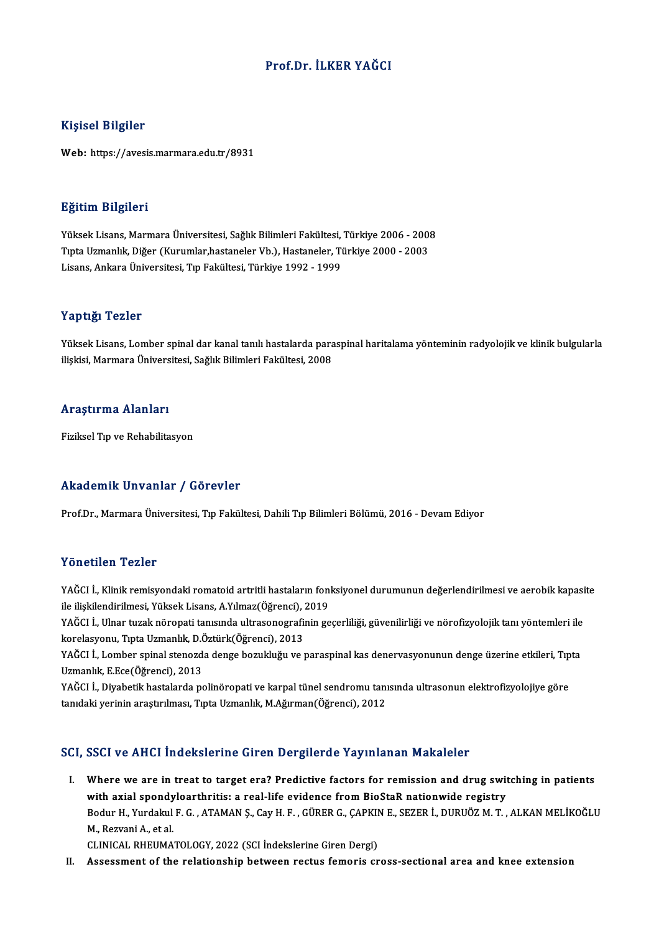### Prof.Dr. İLKER YAĞCI

### Kişisel Bilgiler

Web: https://avesis.marmara.edu.tr/8931

### Eğitim Bilgileri

**Eğitim Bilgileri**<br>Yüksek Lisans, Marmara Üniversitesi, Sağlık Bilimleri Fakültesi, Türkiye 2006 - 2008<br>Tınta Hamanlık Diğer (Kurumlar bastaneler <sup>Vb</sup>), Hastaneler, Türkiye 2000 - 2003 1919)<br>Tüksek Lisans, Marmara Üniversitesi, Sağlık Bilimleri Fakültesi, Türkiye 2006 - 2003<br>Tipta Uzmanlık, Diğer (Kurumlar,hastaneler Vb.), Hastaneler, Türkiye 2000 - 2003<br>Lisans, Ankara Üniversitesi, Tın Fakültesi, Türkiy Yüksek Lisans, Marmara Üniversitesi, Sağlık Bilimleri Fakültesi,<br>Tıpta Uzmanlık, Diğer (Kurumlar,hastaneler Vb.), Hastaneler, Ti<br>Lisans, Ankara Üniversitesi, Tıp Fakültesi, Türkiye 1992 - 1999 Lisans, Ankara Üniversitesi, Tıp Fakültesi, Türkiye 1992 - 1999<br>Yaptığı Tezler

Yaptığı Tezler<br>Yüksek Lisans, Lomber spinal dar kanal tanılı hastalarda paraspinal haritalama yönteminin radyolojik ve klinik bulgularla<br>İliskisi Marmara Üniversitesi, Sağlık Bilimleri Fekültesi, 2008 i üp eigi<br>Yüksek Lisans, Lomber spinal dar kanal tanılı hastalarda para<br>ilişkisi, Marmara Üniversitesi, Sağlık Bilimleri Fakültesi, 2008 ilişkisi, Marmara Üniversitesi, Sağlık Bilimleri Fakültesi, 2008<br>Araştırma Alanları

Fiziksel Tıp ve Rehabilitasyon

### Akademik Unvanlar / Görevler

Prof.Dr., Marmara Üniversitesi, Tıp Fakültesi, Dahili Tıp Bilimleri Bölümü, 2016 - Devam Ediyor

### Yönetilen Tezler

Yönetilen Tezler<br>YAĞCI İ., Klinik remisyondaki romatoid artritli hastaların fonksiyonel durumunun değerlendirilmesi ve aerobik kapasite<br>ile iliakilandirilmesi, Yükaak Lisans, A Yılmar(Öğrensi), 2019 1 SIFSENSIT I SINSI<br>YAĞCI İ., Klinik remisyondaki romatoid artritli hastaların foni<br>ile ilişkilendirilmesi, Yüksek Lisans, A.Yılmaz(Öğrenci), 2019<br>YAĞCLİ, Ulpar turak pörensti tanısında ultrasanasınafinin ge YAĞCI İ., Klinik remisyondaki romatoid artritli hastaların fonksiyonel durumunun değerlendirilmesi ve aerobik kapasi<br>ile ilişkilendirilmesi, Yüksek Lisans, A.Yılmaz(Öğrenci), 2019<br>YAĞCI İ., Ulnar tuzak nöropati tanısında u

ile ilişkilendirilmesi, Yüksek Lisans, A.Yılmaz(Öğrenci), .<br>YAĞCI İ., Ulnar tuzak nöropati tanısında ultrasonografiı<br>korelasyonu, Tıpta Uzmanlık, D.Öztürk(Öğrenci), 2013<br>YAĞCI İ. Lambar aninal stanarda dange berukluğu ve ı YAĞCI İ., Ulnar tuzak nöropati tanısında ultrasonografinin geçerliliği, güvenilirliği ve nörofizyolojik tanı yöntemleri ile<br>korelasyonu, Tıpta Uzmanlık, D.Öztürk(Öğrenci), 2013<br>YAĞCI İ., Lomber spinal stenozda denge bozukl

korelasyonu, Tıpta Uzmanlık, D.<br>YAĞCI İ., Lomber spinal stenozd<br>Uzmanlık, E.Ece(Öğrenci), 2013<br>YAĞCLİ, Divabetik bastalarda pe YAĞCI İ., Lomber spinal stenozda denge bozukluğu ve paraspinal kas denervasyonunun denge üzerine etkileri, Tıp<br>Uzmanlık, E.Ece(Öğrenci), 2013<br>YAĞCI İ., Diyabetik hastalarda polinöropati ve karpal tünel sendromu tanısında u

Uzmanlık, E.Ece(Öğrenci), 2013<br>YAĞCI İ., Diyabetik hastalarda polinöropati ve karpal tünel sendromu tanısında ultrasonun elektrofizyolojiye göre<br>tanıdaki yerinin araştırılması, Tıpta Uzmanlık, M.Ağırman(Öğrenci), 2012

### SCI, SSCI ve AHCI İndekslerine Giren Dergilerde Yayınlanan Makaleler

CI, SSCI ve AHCI Indekslerine Giren Dergilerde Yayınlanan Makaleler<br>I. Where we are in treat to target era? Predictive factors for remission and drug switching in patients<br>with avial apondylearthrities a real life evidence where we are in treat to target era? Predictive factors for remission and drug swith axial spondyloarthritis: a real-life evidence from BioStaR nationwide registry<br>Pedur H, Yurdalpul E.C., ATAMAN S, Cav H, E. CÜRER C, CARV Where we are in treat to target era? Predictive factors for remission and drug switching in patients<br>with axial spondyloarthritis: a real-life evidence from BioStaR nationwide registry<br>Bodur H., Yurdakul F. G. , ATAMAN Ş., **with axial spondy<br>Bodur H., Yurdakul<br>M., Rezvani A., et al.<br>CLINICAL PHEIMA** Bodur H., Yurdakul F. G. , ATAMAN Ş., Cay H. F. , GÜRER G., ÇAPKIN<br>M., Rezvani A., et al.<br>CLINICAL RHEUMATOLOGY, 2022 (SCI İndekslerine Giren Dergi)<br>Assessment of the relationship betusen restus fomonis en M., Rezvani A., et al.<br>CLINICAL RHEUMATOLOGY, 2022 (SCI Indekslerine Giren Dergi)<br>II. Assessment of the relationship between rectus femoris cross-sectional area and knee extension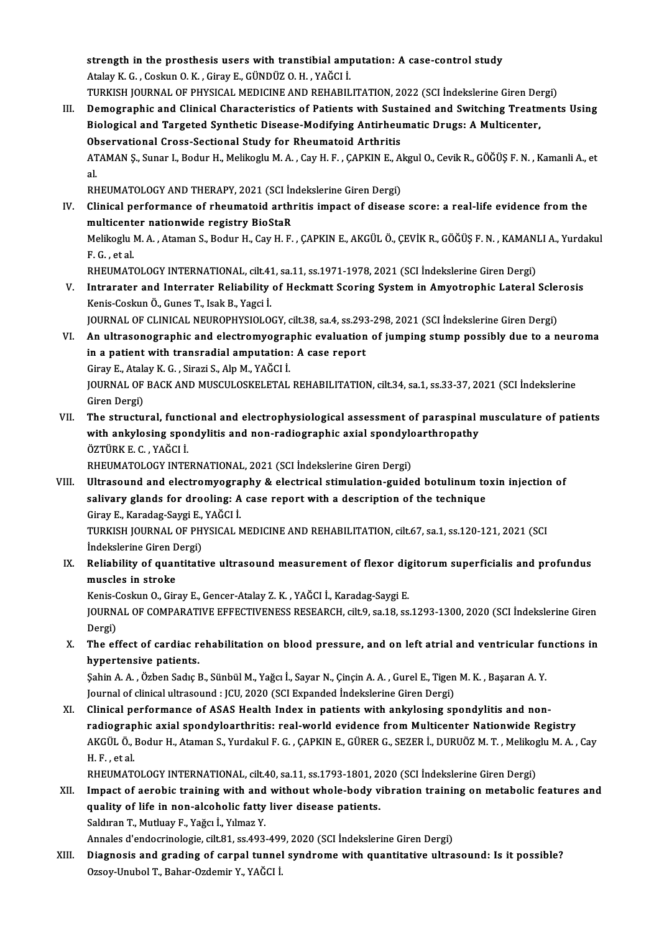strength in the prosthesis users with transtibial amputation: A case-control study<br>Atalay K.C., Coolayn Q.K., Cinay E. CilNDÜZ Q.H., VAČCLI Strength in the prosthesis users with transtibial amp<br>Atalay K. G. , Coskun O. K. , Giray E., GÜNDÜZ O. H. , YAĞCI İ.<br>TURKISH JOURNAL OF RHYSICAL MERICINE AND REHABIL strength in the prosthesis users with transtibial amputation: A case-control study<br>Atalay K. G. , Coskun O. K. , Giray E., GÜNDÜZ O. H. , YAĞCI İ.<br>TURKISH JOURNAL OF PHYSICAL MEDICINE AND REHABILITATION, 2022 (SCI İndeksle

Atalay K. G. , Coskun O. K. , Giray E., GÜNDÜZ O. H. , YAĞCI İ.<br>III. Demographic and Clinical Characteristics of Patients with Sustained and Switching Treatments Using<br>Pielogical and Taracted Sunthatic Disease Medifying An TURKISH JOURNAL OF PHYSICAL MEDICINE AND REHABILITATION, 2022 (SCI İndekslerine Giren Dei<br>Demographic and Clinical Characteristics of Patients with Sustained and Switching Treatm<br>Biological and Targeted Synthetic Disease-M Demographic and Clinical Characteristics of Patients with Sust<br>Biological and Targeted Synthetic Disease-Modifying Antirheu<br>Observational Cross-Sectional Study for Rheumatoid Arthritis<br>ATAMAN S. Sunar L. Bodur H. Molikogly Biological and Targeted Synthetic Disease-Modifying Antirheumatic Drugs: A Multicenter,<br>Observational Cross-Sectional Study for Rheumatoid Arthritis<br>ATAMAN Ş., Sunar I., Bodur H., Melikoglu M. A. , Cay H. F. , ÇAPKIN E., A 0b<br>AT<br>al.<br>pr ATAMAN Ş., Sunar I., Bodur H., Melikoglu M. A. , Cay H. F. , ÇAPKIN E., A<mark>l</mark><br>al.<br>RHEUMATOLOGY AND THERAPY, 2021 (SCI İndekslerine Giren Dergi)<br>Clinisal performanse of rheumateid arthritis impast of disease

al.<br>RHEUMATOLOGY AND THERAPY, 2021 (SCI İndekslerine Giren Dergi)<br>IV. Clinical performance of rheumatoid arthritis impact of disease score: a real-life evidence from the<br>multisanter nationyide registry BioStaB RHEUMATOLOGY AND THERAPY, 2021 (SCI In<br>Clinical performance of rheumatoid arthi<br>multicenter nationwide registry BioStaR<br>Melikoghi M.A., Ataman S. Bodur H. Cav H. E. Clinical performance of rheumatoid arthritis impact of disease score: a real-life evidence from the<br>multicenter nationwide registry BioStaR<br>Melikoglu M. A. , Ataman S., Bodur H., Cay H. F. , ÇAPKIN E., AKGÜL Ö., ÇEVİK R., multicenter nationwide registry BioStaR<br>Melikoglu M. A. , Ataman S., Bodur H., Cay H. F. , ÇAPKIN E., AKGÜL Ö., ÇEVİK R., GÖĞÜŞ F. N. , KAMANLI A., Yurdakul<br>F. G. , et al. Melikoglu M. A. , Ataman S., Bodur H., Cay H. F. , ÇAPKIN E., AKGÜL Ö., ÇEVİK R., GÖĞÜŞ F. N. , KAMANI<br>F. G. , et al.<br>RHEUMATOLOGY INTERNATIONAL, cilt.41, sa.11, ss.1971-1978, 2021 (SCI İndekslerine Giren Dergi)<br>Intrarator

F. G., et al.<br>RHEUMATOLOGY INTERNATIONAL, cilt.41, sa.11, ss.1971-1978, 2021 (SCI İndekslerine Giren Dergi)<br>V. Intrarater and Interrater Reliability of Heckmatt Scoring System in Amyotrophic Lateral Sclerosis<br>Kanja Gesl RHEUMATOLOGY INTERNATIONAL, cilt.4.<br>Intrarater and Interrater Reliability<br>Kenis-Coskun Ö., Gunes T., Isak B., Yagci İ.<br>JOUPNAL OE CLINICAL NEUPOPUYSIOLO Intrarater and Interrater Reliability of Heckmatt Scoring System in Amyotrophic Lateral Sclei<br>Kenis-Coskun Ö., Gunes T., Isak B., Yagci İ.<br>JOURNAL OF CLINICAL NEUROPHYSIOLOGY, cilt.38, sa.4, ss.293-298, 2021 (SCI İndeksler

Kenis-Coskun Ö., Gunes T., Isak B., Yagci İ.<br>JOURNAL OF CLINICAL NEUROPHYSIOLOGY, cilt.38, sa.4, ss.293-298, 2021 (SCI İndekslerine Giren Dergi)<br>VI. An ultrasonographic and electromyographic evaluation of jumping stump pos JOURNAL OF CLINICAL NEUROPHYSIOLOGY, cilt.38, sa.4, ss.293<br>An ultrasonographic and electromyographic evaluation<br>in a patient with transradial amputation: A case report<br>Sinay E. Atalay K.G., Sinari S., Alp M. YAČCLI An ultrasonographic and electromyogra<br>in a patient with transradial amputation<br>Giray E., Atalay K. G. , Sirazi S., Alp M., YAĞCI İ.<br>JOUPMAL OF PACK AND MUSCULOSKELETAL

in a patient with transradial amputation: A case report<br>Giray E., Atalay K. G. , Sirazi S., Alp M., YAĞCI İ.<br>JOURNAL OF BACK AND MUSCULOSKELETAL REHABILITATION, cilt.34, sa.1, ss.33-37, 2021 (SCI İndekslerine<br>Giren Dergi) Giray E., Atala<br>JOURNAL OF<br>Giren Dergi)<br>The structu JOURNAL OF BACK AND MUSCULOSKELETAL REHABILITATION, cilt.34, sa.1, ss.33-37, 2021 (SCI Indekslerine<br>Giren Dergi)<br>VII. The structural, functional and electrophysiological assessment of paraspinal musculature of patients<br>wit

Giren Dergi)<br>The structural, functional and electrophysiological assessment of paraspinal i<br>with ankylosing spondylitis and non-radiographic axial spondyloarthropathy<br>ÖZTÜRK E.G. XAČCLİ The structural, funct<br>with ankylosing spol<br>ÖZTÜRK E. C. , YAĞCI İ.<br>PHEUMATOLOCY INTE with ankylosing spondylitis and non-radiographic axial spondyloarthropathy<br>ÖZTÜRK E. C. , YAĞCI İ.<br>RHEUMATOLOGY INTERNATIONAL, 2021 (SCI İndekslerine Giren Dergi)

- ÖZTÜRK E. C. , YAĞCI İ.<br>RHEUMATOLOGY INTERNATIONAL, 2021 (SCI İndekslerine Giren Dergi)<br>VIII. Ultrasound and electromyography & electrical stimulation-guided botulinum toxin injection of<br>seliyery slands for dreeling: A ses RHEUMATOLOGY INTERNATIONAL, 2021 (SCI İndekslerine Giren Dergi)<br>Ultrasound and electromyography & electrical stimulation-guided botulinum to<br>salivary glands for drooling: A case report with a description of the technique<br>C Ultrasound and electromyogra<br>salivary glands for drooling: A<br>Giray E., Karadag-Saygi E., YAĞCI İ.<br>TURKISH JOURNAL OF BHYSICAL A salivary glands for drooling: A case report with a description of the technique<br>Giray E., Karadag-Saygi E., YAĞCI İ.<br>TURKISH JOURNAL OF PHYSICAL MEDICINE AND REHABILITATION, cilt.67, sa.1, ss.120-121, 2021 (SCI<br>İndekslerin Giray E., Karadag-Saygi E.,<br>TURKISH JOURNAL OF PH<br>İndekslerine Giren Dergi)<br>Reliability of suantitati TURKISH JOURNAL OF PHYSICAL MEDICINE AND REHABILITATION, cilt.67, sa.1, ss.120-121, 2021 (SCI<br>Indekslerine Giren Dergi)<br>IX. Reliability of quantitative ultrasound measurement of flexor digitorum superficialis and profundus
- Indekslerine Giren D<br>Reliability of quan<br>muscles in stroke<br>Kanis Coslun O. Gir Reliability of quantitative ultrasound measurement of flexor dig<br>muscles in stroke<br>Kenis-Coskun O., Giray E., Gencer-Atalay Z. K. , YAĞCI İ., Karadag-Saygi E.<br>JOUPMAL OE COMPARATIVE EEEECTIVENESS BESEARCH si<sup>1</sup>5 Q 33 QS

muscles in stroke<br>Kenis-Coskun O., Giray E., Gencer-Atalay Z. K. , YAĞCI İ., Karadag-Saygi E.<br>JOURNAL OF COMPARATIVE EFFECTIVENESS RESEARCH, cilt.9, sa.18, ss.1293-1300, 2020 (SCI İndekslerine Giren Kenis-C<br>JOURN<br>Dergi)<br>The of JOURNAL OF COMPARATIVE EFFECTIVENESS RESEARCH, cilt.9, sa.18, ss.1293-1300, 2020 (SCI İndekslerine Giren<br>Dergi)<br>X. The effect of cardiac rehabilitation on blood pressure, and on left atrial and ventricular functions in<br>hyp

Dergi)<br>The effect of cardiac re<br>hypertensive patients.<br>Sabin A.A. Ögben Sadie I The effect of cardiac rehabilitation on blood pressure, and on left atrial and ventricular fu<br>hypertensive patients.<br>Şahin A. A. , Özben Sadıç B., Sünbül M., Yağcı İ., Sayar N., Çinçin A. A. , Gurel E., Tigen M. K. , Başar

**hypertensive patients.**<br>Şahin A. A. , Özben Sadıç B., Sünbül M., Yağcı İ., Sayar N., Çinçin A. A. , Gurel E., Tigen M. K. , Başaran A. Y.<br>Journal of clinical ultrasound : JCU, 2020 (SCI Expanded İndekslerine Giren Dergi)

XI. Clinical performance of ASAS Health Index in patients with ankylosing spondylitis and non-Journal of clinical ultrasound : JCU, 2020 (SCI Expanded Indekslerine Giren Dergi)<br>Clinical performance of ASAS Health Index in patients with ankylosing spondylitis and non-<br>radiographic axial spondyloarthritis: real-world Clinical performance of ASAS Health Index in patients with ankylosing spondylitis and non-<br>radiographic axial spondyloarthritis: real-world evidence from Multicenter Nationwide Registry<br>AKGÜL Ö., Bodur H., Ataman S., Yurda r<mark>adiograp</mark><br>AKGÜL Ö., I<br>H. F. , et al.<br>PHEUMAT AKGÜL Ö., Bodur H., Ataman S., Yurdakul F. G. , ÇAPKIN E., GÜRER G., SEZER İ., DURUÖZ M. T. , Melikoglu M. A. , Cay<br>H. F. , et al.

RHEUMATOLOGY INTERNATIONAL, cilt.40, sa.11, ss.1793-1801, 2020 (SCI İndekslerine Giren Dergi)

XII. Impact of aerobic training with and without whole-body vibration training on metabolic features and quality of life in non-alcoholic fatty liver disease patients. Saldıran T., Mutluay F., Yağcı İ., Yılmaz Y.

Annales d'endocrinologie, cilt.81, ss.493-499, 2020 (SCI İndekslerine Giren Dergi)

Saldıran T., Mutluay F., Yağcı İ., Yılmaz Y.<br>Annales d'endocrinologie, cilt.81, ss.493-499, 2020 (SCI İndekslerine Giren Dergi)<br>XIII. Diagnosis and grading of carpal tunnel syndrome with quantitative ultrasound: Is it poss Annales d'endocrinologie, cilt.81, ss.493-499<br>Di<mark>agnosis and grading of carpal tunne</mark>l<br>Ozsoy-Unubol T., Bahar-Ozdemir Y., YAĞCI İ.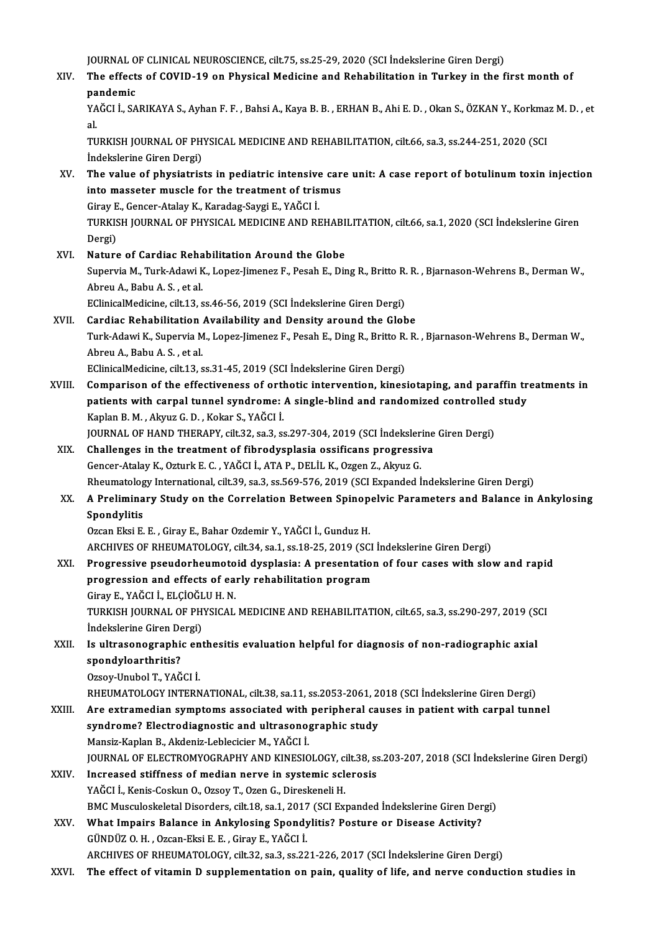JOURNAL OF CLINICAL NEUROSCIENCE, cilt.75, ss.25-29, 2020 (SCI İndekslerine Giren Dergi)

JOURNAL OF CLINICAL NEUROSCIENCE, cilt.75, ss.25-29, 2020 (SCI İndekslerine Giren Dergi)<br>XIV. The effects of COVID-19 on Physical Medicine and Rehabilitation in Turkey in the first month of **JOURNAL O<br>The effect<br>pandemic<br>v^ČCLI\_S^** The effects of COVID-19 on Physical Medicine and Rehabilitation in Turkey in the first month of<br>pandemic<br>YAĞCI İ., SARIKAYA S., Ayhan F. F. , Bahsi A., Kaya B. B. , ERHAN B., Ahi E. D. , Okan S., ÖZKAN Y., Korkmaz M. D. ,

**pa**<br>YA<br>Tu YAĞCI İ., SARIKAYA S., Ayhan F. F. , Bahsi A., Kaya B. B. , ERHAN B., Ahi E. D. , Okan S., ÖZKAN Y., Korkmaz M. D. , et<br>al.<br>TURKISH JOURNAL OF PHYSICAL MEDICINE AND REHABILITATION, cilt.66, sa.3, ss.244-251, 2020 (SCI<br>İnde

TURKISH JOURNAL OF PHYSICAL MEDICINE AND REHABILITATION, cilt.66, sa.3, ss.244-251, 2020 (SCI

- XV. The value of physiatrists in pediatric intensive care unit: A case report of botulinumtoxin injection into masseter muscle for the treatment of trismus The value of physiatrists in pediatric intensive<br>into masseter muscle for the treatment of tris<br>Giray E., Gencer-Atalay K., Karadag-Saygi E., YAĞCI İ.<br>TURKISH JOURNAL OF PHYSICAL MEDICINE AND PE into masseter muscle for the treatment of trismus<br>Giray E., Gencer-Atalay K., Karadag-Saygi E., YAĞCI İ.<br>TURKISH JOURNAL OF PHYSICAL MEDICINE AND REHABILITATION, cilt.66, sa.1, 2020 (SCI İndekslerine Giren<br>Dergi) Giray E<br>TURKIS<br>Dergi)<br>Nature TURKISH JOURNAL OF PHYSICAL MEDICINE AND REHABI<br>Dergi)<br>XVI. Nature of Cardiac Rehabilitation Around the Globe<br>Supervis M. Turk Adovi K. Long Jimoner E. Bosch E. Dir.
- Dergi)<br>**Nature of Cardiac Rehabilitation Around the Globe**<br>Supervia M., Turk-Adawi K., Lopez-Jimenez F., Pesah E., Ding R., Britto R. R. , Bjarnason-Wehrens B., Derman W.,<br>Ahrou A. Bebu A. S., et al. **Nature of Cardiac Reha<br>Supervia M., Turk-Adawi K<br>Abreu A., Babu A. S. , et al.<br>EClinicalMedicine silt 12, c** Supervia M., Turk-Adawi K., Lopez-Jimenez F., Pesah E., Ding R., Britto R.<br>Abreu A., Babu A. S. , et al.<br>EClinicalMedicine, cilt.13, ss.46-56, 2019 (SCI İndekslerine Giren Dergi)<br>Cardine Pehabilitation Availability and Dan Abreu A., Babu A. S. , et al.<br>EClinicalMedicine, cilt.13, ss.46-56, 2019 (SCI Indekslerine Giren Dergi)<br>XVII. Cardiac Rehabilitation Availability and Density around the Globe<br>Turk Adoui K. Sunowia M. Long Jimener E. Bossh

# EClinicalMedicine, cilt.13, ss.46-56, 2019 (SCI İndekslerine Giren Dergi)<br>Cardiac Rehabilitation Availability and Density around the Globe<br>Turk-Adawi K., Supervia M., Lopez-Jimenez F., Pesah E., Ding R., Britto R. R. , Bja Cardiac Rehabilitation<br>Turk-Adawi K., Supervia M<br>Abreu A., Babu A. S. , et al.<br>EClinicalMedicine, cilt 12, c

EClinicalMedicine, cilt.13, ss.31-45, 2019 (SCI İndekslerine Giren Dergi)

Abreu A., Babu A. S. , et al.<br>EClinicalMedicine, cilt.13, ss.31-45, 2019 (SCI Indekslerine Giren Dergi)<br>XVIII. Comparison of the effectiveness of orthotic intervention, kinesiotaping, and paraffin treatments in<br>nationts wi EClinicalMedicine, cilt.13, ss.31-45, 2019 (SCI İndekslerine Giren Dergi)<br>Comparison of the effectiveness of orthotic intervention, kinesiotaping, and paraffin tr<br>patients with carpal tunnel syndrome: A single-blind and ra Comparison of the effectiveness of orthologient<br>patients with carpal tunnel syndrome:<br>Kaplan B. M. , Akyuz G. D. , Kokar S., YAĞCI İ.<br>JOUPNAL OF HAND TUERARY silt 32.53.3.6 patients with carpal tunnel syndrome: A single-blind and randomized controlled<br>Kaplan B. M. , Akyuz G. D. , Kokar S., YAĞCI İ.<br>JOURNAL OF HAND THERAPY, cilt.32, sa.3, ss.297-304, 2019 (SCI İndekslerine Giren Dergi)<br>Challen Kaplan B. M., Akyuz G. D., Kokar S., YAĞCI İ.<br>JOURNAL OF HAND THERAPY, cilt.32, sa.3, ss.297-304, 2019 (SCI İndekslerine<br>XIX. Challenges in the treatment of fibrodysplasia ossificans progressiva<br>Concer Atalay K. Otturk E.C

JOURNAL OF HAND THERAPY, cilt.32, sa.3, ss.297-304, 2019 (SCI İndeksler:<br>Challenges in the treatment of fibrodysplasia ossificans progressi:<br>Gencer-Atalay K., Ozturk E. C. , YAĞCI İ., ATA P., DELİL K., Ozgen Z., Akyuz G.<br>P Challenges in the treatment of fibrodysplasia ossificans progressiva<br>Gencer-Atalay K., Ozturk E. C. , YAĞCI İ., ATA P., DELİL K., Ozgen Z., Akyuz G.<br>Rheumatology International, cilt.39, sa.3, ss.569-576, 2019 (SCI Expanded Gencer-Atalay K., Ozturk E. C. , YAĞCI İ., ATA P., DELİL K., Ozgen Z., Akyuz G.<br>Rheumatology International, cilt.39, sa.3, ss.569-576, 2019 (SCI Expanded İndekslerine Giren Dergi)<br>XX. A Preliminary Study on the Correlation

# Rheumatolog<br>A Prelimina<br>Spondylitis<br>Ozean Elsi E

Ozcan Eksi E. E., Giray E., Bahar Ozdemir Y., YAĞCI İ., Gunduz H.

ARCHIVES OF RHEUMATOLOGY, cilt.34, sa.1, ss.18-25, 2019 (SCI İndekslerine Giren Dergi)

Ozcan Eksi E. E. , Giray E., Bahar Ozdemir Y., YAĞCI İ., Gunduz H.<br>ARCHIVES OF RHEUMATOLOGY, cilt.34, sa.1, ss.18-25, 2019 (SCI İndekslerine Giren Dergi)<br>XXI. Progressive pseudorheumotoid dysplasia: A presentation of four ARCHIVES OF RHEUMATOLOGY, cilt.34, sa.1, ss.18-25, 2019 (SCI<br>Progressive pseudorheumotoid dysplasia: A presentation<br>progression and effects of early rehabilitation program<br>Ciroy E. VAČCLI, ELCIOČLU H.N Progressive pseudorheumoto<br>progression and effects of ea:<br>Giray E., YAĞCI İ., ELÇİOĞLU H. N.<br>TURKISH JOURNAL OF BHYSICAL progression and effects of early rehabilitation program<br>Giray E., YAĞCI İ., ELÇİOĞLU H. N.<br>TURKISH JOURNAL OF PHYSICAL MEDICINE AND REHABILITATION, cilt.65, sa.3, ss.290-297, 2019 (SCI<br>İndekalarine Ciren Dergi)

Giray E., YAĞCI İ., ELÇİOĞL<br>TURKISH JOURNAL OF PH<br>İndekslerine Giren Dergi)<br>Is ultrasonographis ort TURKISH JOURNAL OF PHYSICAL MEDICINE AND REHABILITATION, cilt.65, sa.3, ss.290-297, 2019 (S<br>Indekslerine Giren Dergi)<br>XXII. Is ultrasonographic enthesitis evaluation helpful for diagnosis of non-radiographic axial<br>Spondvlo

Indekslerine Giren Dergi)<br>Is ultrasonographic en<br>spondyloarthritis?<br>Ozsov-Unubol T., YAĞCI İ. XXII. Is ultrasonographic enthesitis evaluation helpful for diagnosis of non-radiographic axial

RHEUMATOLOGYINTERNATIONAL, cilt.38, sa.11, ss.2053-2061,2018 (SCI İndekslerineGirenDergi)

- Ozsoy-Unubol T., YAĞCI İ.<br>RHEUMATOLOGY INTERNATIONAL, cilt.38, sa.11, ss.2053-2061, 2018 (SCI İndekslerine Giren Dergi)<br>XXIII. Are extramedian symptoms associated with peripheral causes in patient with carpal tunnel RHEUMATOLOGY INTERNATIONAL, cilt.38, sa.11, ss.2053-2061, 2<br>Are extramedian symptoms associated with peripheral cal<br>syndrome? Electrodiagnostic and ultrasonographic study<br>Mansir Kaplan B. Alcioniz Loblogician M. YAČCLI Are extramedian symptoms associated with<br>syndrome? Electrodiagnostic and ultrasono<sub>{</sub><br>Mansiz-Kaplan B., Akdeniz-Leblecicier M., YAĞCI İ.<br>JOUPNAL OF ELECTROMYOCRAPHY AND KINESIO syndrome? Electrodiagnostic and ultrasonographic study<br>Mansiz-Kaplan B., Akdeniz-Leblecicier M., YAĞCI İ.<br>JOURNAL OF ELECTROMYOGRAPHY AND KINESIOLOGY, cilt.38, ss.203-207, 2018 (SCI İndekslerine Giren Dergi)<br>Inexessed stif Mansiz-Kaplan B., Akdeniz-Leblecicier M., YAĞCI İ.<br>JOURNAL OF ELECTROMYOGRAPHY AND KINESIOLOGY, cilt.38, ss<br>XXIV. Increased stiffness of median nerve in systemic sclerosis<br>VAČCI i Kapis Coslav O. Ozov T. Ozon C. Direckapel
- JOURNAL OF ELECTROMYOGRAPHY AND KINESIOLOGY, continue and the set of median nerve in systemic schi<br>YAĞCI İ., Kenis-Coskun O., Ozsoy T., Ozen G., Direskeneli H.<br>PMC Museuloskalatal Disordars, silt 19, ss 1, 2017 (SCI Evr Increased stiffness of median nerve in systemic sclerosis<br>YAĞCI İ., Kenis-Coskun O., Ozsoy T., Ozen G., Direskeneli H.<br>BMC Musculoskeletal Disorders, cilt.18, sa.1, 2017 (SCI Expanded İndekslerine Giren Dergi)<br>What Imnains YAĞCI İ., Kenis-Coskun O., Ozsoy T., Ozen G., Direskeneli H.<br>BMC Musculoskeletal Disorders, cilt.18, sa.1, 2017 (SCI Expanded İndekslerine Giren Der<br>XXV. What Impairs Balance in Ankylosing Spondylitis? Posture or Disease A
- BMC Musculoskeletal Disorders, cilt.18, sa.1, 2017<br>What Impairs Balance in Ankylosing Spondy<br>GÜNDÜZ O. H. , Ozcan-Eksi E. E. , Giray E., YAĞCI İ.<br>ARCUIVES OF BUEUMATOLOGY silt 22, 22, 23, 23, 23 What Impairs Balance in Ankylosing Spondylitis? Posture or Disease Activity?<br>GÜNDÜZ 0. H. , Ozcan-Eksi E. E. , Giray E., YAĞCI İ.<br>ARCHIVES OF RHEUMATOLOGY, cilt.32, sa.3, ss.221-226, 2017 (SCI İndekslerine Giren Dergi)<br>The GÜNDÜZ O. H. , Ozcan-Eksi E. E. , Giray E., YAĞCI İ.<br>ARCHIVES OF RHEUMATOLOGY, cilt.32, sa.3, ss.221-226, 2017 (SCI İndekslerine Giren Dergi)<br>XXVI. The effect of vitamin D supplementation on pain, quality of life, and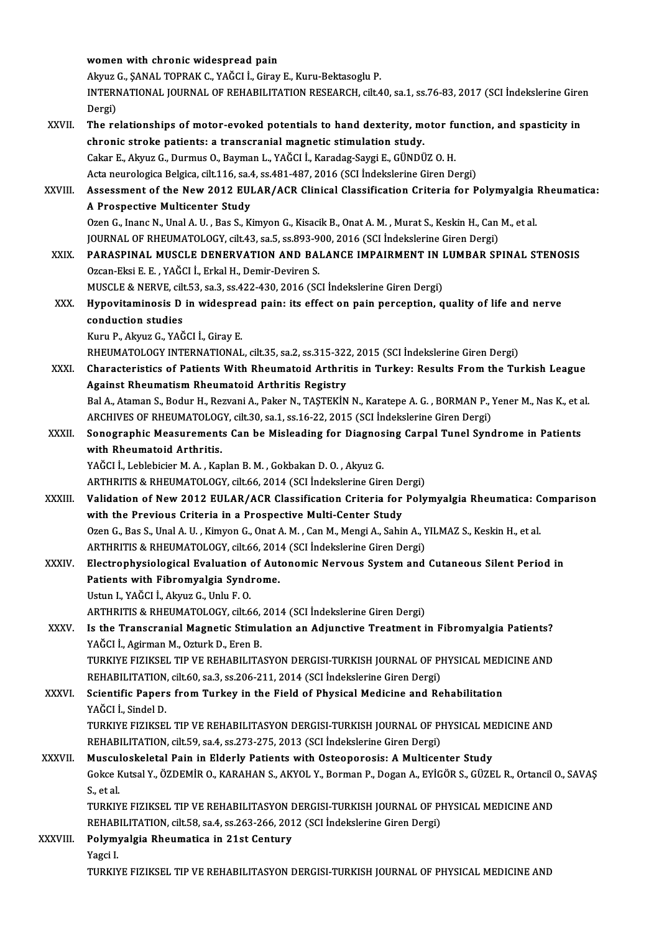|               | women with chronic widespread pain                                                                                  |
|---------------|---------------------------------------------------------------------------------------------------------------------|
|               | Akyuz G., ŞANAL TOPRAK C., YAĞCI İ., Giray E., Kuru-Bektasoglu P.                                                   |
|               | INTERNATIONAL JOURNAL OF REHABILITATION RESEARCH, cilt.40, sa.1, ss.76-83, 2017 (SCI Indekslerine Giren<br>Dergi)   |
| XXVII.        | The relationships of motor-evoked potentials to hand dexterity, motor function, and spasticity in                   |
|               | chronic stroke patients: a transcranial magnetic stimulation study.                                                 |
|               | Cakar E., Akyuz G., Durmus O., Bayman L., YAĞCI İ., Karadag-Saygi E., GÜNDÜZ O. H.                                  |
|               | Acta neurologica Belgica, cilt.116, sa.4, ss.481-487, 2016 (SCI İndekslerine Giren Dergi)                           |
| <b>XXVIII</b> | Assessment of the New 2012 EULAR/ACR Clinical Classification Criteria for Polymyalgia Rheumatica:                   |
|               | A Prospective Multicenter Study                                                                                     |
|               | Ozen G., Inanc N., Unal A. U., Bas S., Kimyon G., Kisacik B., Onat A. M., Murat S., Keskin H., Can M., et al.       |
|               | JOURNAL OF RHEUMATOLOGY, cilt.43, sa.5, ss.893-900, 2016 (SCI Indekslerine Giren Dergi)                             |
| XXIX          | PARASPINAL MUSCLE DENERVATION AND BALANCE IMPAIRMENT IN LUMBAR SPINAL STENOSIS                                      |
|               | Ozcan-Eksi E. E., YAĞCI İ., Erkal H., Demir-Deviren S.                                                              |
|               | MUSCLE & NERVE, cilt.53, sa.3, ss.422-430, 2016 (SCI Indekslerine Giren Dergi)                                      |
| XXX.          | Hypovitaminosis D in widespread pain: its effect on pain perception, quality of life and nerve                      |
|               | conduction studies                                                                                                  |
|               | Kuru P., Akyuz G., YAĞCI İ., Giray E.                                                                               |
|               | RHEUMATOLOGY INTERNATIONAL, cilt.35, sa.2, ss.315-322, 2015 (SCI İndekslerine Giren Dergi)                          |
| XXXI.         | Characteristics of Patients With Rheumatoid Arthritis in Turkey: Results From the Turkish League                    |
|               | Against Rheumatism Rheumatoid Arthritis Registry                                                                    |
|               | Bal A., Ataman S., Bodur H., Rezvani A., Paker N., TAȘTEKİN N., Karatepe A. G., BORMAN P., Yener M., Nas K., et al. |
|               | ARCHIVES OF RHEUMATOLOGY, cilt.30, sa.1, ss.16-22, 2015 (SCI İndekslerine Giren Dergi)                              |
| XXXII.        | Sonographic Measurements Can be Misleading for Diagnosing Carpal Tunel Syndrome in Patients                         |
|               | with Rheumatoid Arthritis.                                                                                          |
|               | YAĞCI İ., Leblebicier M. A., Kaplan B. M., Gokbakan D. O., Akyuz G.                                                 |
|               | ARTHRITIS & RHEUMATOLOGY, cilt.66, 2014 (SCI İndekslerine Giren Dergi)                                              |
| <b>XXXIII</b> | Validation of New 2012 EULAR/ACR Classification Criteria for Polymyalgia Rheumatica: Comparison                     |
|               | with the Previous Criteria in a Prospective Multi-Center Study                                                      |
|               | Ozen G., Bas S., Unal A. U., Kimyon G., Onat A. M., Can M., Mengi A., Sahin A., YILMAZ S., Keskin H., et al.        |
|               | ARTHRITIS & RHEUMATOLOGY, cilt.66, 2014 (SCI İndekslerine Giren Dergi)                                              |
| XXXIV.        | Electrophysiological Evaluation of Autonomic Nervous System and Cutaneous Silent Period in                          |
|               | Patients with Fibromyalgia Syndrome.                                                                                |
|               | Ustun I., YAĞCI İ., Akyuz G., Unlu F. O.                                                                            |
|               | ARTHRITIS & RHEUMATOLOGY, cilt.66, 2014 (SCI Indekslerine Giren Dergi)                                              |
| <b>XXXV</b>   | Is the Transcranial Magnetic Stimulation an Adjunctive Treatment in Fibromyalgia Patients?                          |
|               | YAĞCI İ., Agirman M., Ozturk D., Eren B.                                                                            |
|               | TURKIYE FIZIKSEL TIP VE REHABILITASYON DERGISI-TURKISH JOURNAL OF PHYSICAL MEDICINE AND                             |
|               | REHABILITATION, cilt.60, sa.3, ss.206-211, 2014 (SCI Indekslerine Giren Dergi)                                      |
| <b>XXXVI</b>  | Scientific Papers from Turkey in the Field of Physical Medicine and Rehabilitation                                  |
|               | YAĞCI İ., Sindel D.                                                                                                 |
|               | TURKIYE FIZIKSEL TIP VE REHABILITASYON DERGISI-TURKISH JOURNAL OF PHYSICAL MEDICINE AND                             |
|               | REHABILITATION, cilt.59, sa.4, ss.273-275, 2013 (SCI Indekslerine Giren Dergi)                                      |
| <b>XXXVII</b> | Musculoskeletal Pain in Elderly Patients with Osteoporosis: A Multicenter Study                                     |
|               | Gokce Kutsal Y., ÖZDEMİR O., KARAHAN S., AKYOL Y., Borman P., Dogan A., EYİGÖR S., GÜZEL R., Ortancil O., SAVAŞ     |
|               | S, et al.                                                                                                           |
|               | TURKIYE FIZIKSEL TIP VE REHABILITASYON DERGISI-TURKISH JOURNAL OF PHYSICAL MEDICINE AND                             |
|               | REHABILITATION, cilt.58, sa.4, ss.263-266, 2012 (SCI Indekslerine Giren Dergi)                                      |
| XXXVIII.      | Polymyalgia Rheumatica in 21st Century                                                                              |
|               | Yagci I                                                                                                             |
|               | TURKIYE FIZIKSEL TIP VE REHABILITASYON DERGISI-TURKISH JOURNAL OF PHYSICAL MEDICINE AND                             |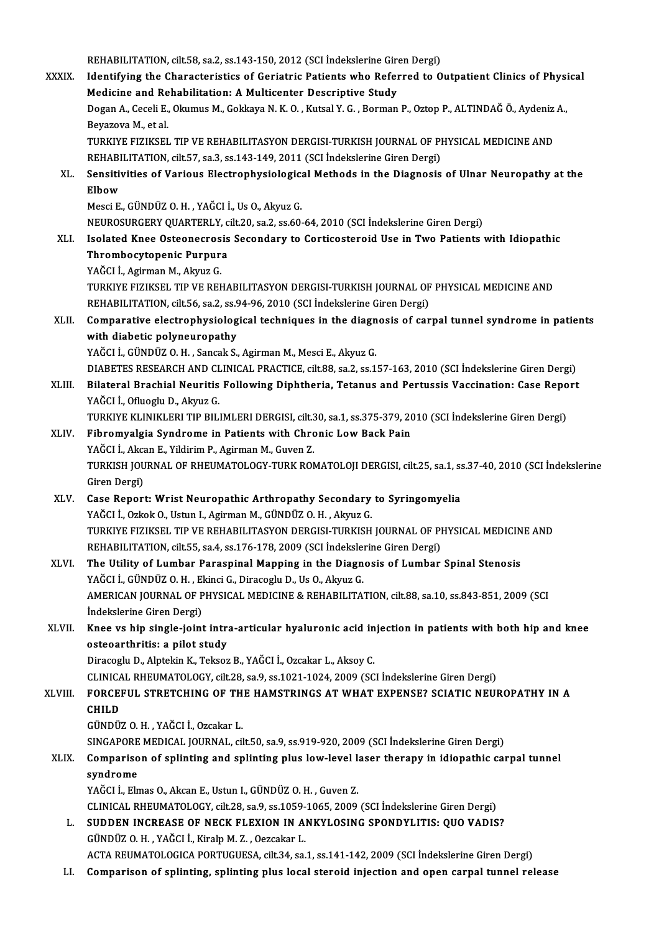REHABILITATION, cilt.58, sa.2, ss.143-150, 2012 (SCI İndekslerine Giren Dergi)<br>Identifying the Charasteristics of Coristric Petients who Beformed to O

|              | REHABILITATION, cilt.58, sa.2, ss.143-150, 2012 (SCI Indekslerine Giren Dergi)                                                                                    |
|--------------|-------------------------------------------------------------------------------------------------------------------------------------------------------------------|
| <b>XXXIX</b> | Identifying the Characteristics of Geriatric Patients who Referred to Outpatient Clinics of Physical                                                              |
|              | Medicine and Rehabilitation: A Multicenter Descriptive Study                                                                                                      |
|              | Dogan A., Ceceli E., Okumus M., Gokkaya N. K. O., Kutsal Y. G., Borman P., Oztop P., ALTINDAĞ Ö., Aydeniz A.,                                                     |
|              | Beyazova M., et al.                                                                                                                                               |
|              | TURKIYE FIZIKSEL TIP VE REHABILITASYON DERGISI-TURKISH JOURNAL OF PHYSICAL MEDICINE AND                                                                           |
|              | REHABILITATION, cilt.57, sa.3, ss.143-149, 2011 (SCI Indekslerine Giren Dergi)                                                                                    |
| XL.          | Sensitivities of Various Electrophysiological Methods in the Diagnosis of Ulnar Neuropathy at the<br>Elbow                                                        |
|              | Mesci E., GÜNDÜZ O. H., YAĞCI İ., Us O., Akyuz G.                                                                                                                 |
|              | NEUROSURGERY QUARTERLY, cilt.20, sa.2, ss.60-64, 2010 (SCI Indekslerine Giren Dergi)                                                                              |
| XLI.         | Isolated Knee Osteonecrosis Secondary to Corticosteroid Use in Two Patients with Idiopathic                                                                       |
|              | Thrombocytopenic Purpura                                                                                                                                          |
|              | YAĞCI İ., Agirman M., Akyuz G.                                                                                                                                    |
|              | TURKIYE FIZIKSEL TIP VE REHABILITASYON DERGISI-TURKISH JOURNAL OF PHYSICAL MEDICINE AND                                                                           |
|              | REHABILITATION, cilt 56, sa.2, ss.94-96, 2010 (SCI Indekslerine Giren Dergi)                                                                                      |
| XLII.        | Comparative electrophysiological techniques in the diagnosis of carpal tunnel syndrome in patients                                                                |
|              | with diabetic polyneuropathy                                                                                                                                      |
|              | YAĞCI İ., GÜNDÜZ O.H., Sancak S., Agirman M., Mesci E., Akyuz G.                                                                                                  |
|              | DIABETES RESEARCH AND CLINICAL PRACTICE, cilt.88, sa.2, ss.157-163, 2010 (SCI İndekslerine Giren Dergi)                                                           |
| XLIII.       | Bilateral Brachial Neuritis Following Diphtheria, Tetanus and Pertussis Vaccination: Case Report                                                                  |
|              | YAĞCI İ., Ofluoglu D., Akyuz G.                                                                                                                                   |
|              | TURKIYE KLINIKLERI TIP BILIMLERI DERGISI, cilt.30, sa.1, ss.375-379, 2010 (SCI İndekslerine Giren Dergi)                                                          |
| XLIV.        | Fibromyalgia Syndrome in Patients with Chronic Low Back Pain                                                                                                      |
|              | YAĞCI İ., Akcan E., Yildirim P., Agirman M., Guven Z.<br>TURKISH JOURNAL OF RHEUMATOLOGY-TURK ROMATOLOJI DERGISI, cilt.25, sa.1, ss.37-40, 2010 (SCI İndekslerine |
|              | Giren Dergi)                                                                                                                                                      |
| XLV.         | Case Report: Wrist Neuropathic Arthropathy Secondary to Syringomyelia                                                                                             |
|              | YAĞCI İ., Ozkok O., Ustun I., Agirman M., GÜNDÜZ O. H., Akyuz G.                                                                                                  |
|              | TURKIYE FIZIKSEL TIP VE REHABILITASYON DERGISI-TURKISH IOURNAL OF PHYSICAL MEDICINE AND                                                                           |
|              | REHABILITATION, cilt.55, sa.4, ss.176-178, 2009 (SCI Indekslerine Giren Dergi)                                                                                    |
| XLVI.        | The Utility of Lumbar Paraspinal Mapping in the Diagnosis of Lumbar Spinal Stenosis                                                                               |
|              | YAĞCI İ., GÜNDÜZ O. H., Ekinci G., Diracoglu D., Us O., Akyuz G.                                                                                                  |
|              | AMERICAN JOURNAL OF PHYSICAL MEDICINE & REHABILITATION, cilt.88, sa.10, ss.843-851, 2009 (SCI                                                                     |
|              | İndekslerine Giren Dergi)                                                                                                                                         |
| XLVII.       | Knee vs hip single-joint intra-articular hyaluronic acid injection in patients with both hip and knee                                                             |
|              | osteoarthritis: a pilot study                                                                                                                                     |
|              | Diracoglu D., Alptekin K., Teksoz B., YAĞCI İ., Ozcakar L., Aksoy C.                                                                                              |
|              | CLINICAL RHEUMATOLOGY, cilt.28, sa.9, ss.1021-1024, 2009 (SCI Indekslerine Giren Dergi)                                                                           |
| XLVIII.      | FORCEFUL STRETCHING OF THE HAMSTRINGS AT WHAT EXPENSE? SCIATIC NEUROPATHY IN A<br><b>CHILD</b>                                                                    |
|              | GÜNDÜZ O. H., YAĞCI İ., Ozcakar L.                                                                                                                                |
|              | SINGAPORE MEDICAL JOURNAL, cilt.50, sa.9, ss.919-920, 2009 (SCI Indekslerine Giren Dergi)                                                                         |
| <b>XLIX</b>  | Comparison of splinting and splinting plus low-level laser therapy in idiopathic carpal tunnel                                                                    |
|              | syndrome                                                                                                                                                          |
|              | YAĞCI İ., Elmas O., Akcan E., Ustun I., GÜNDÜZ O. H., Guven Z.                                                                                                    |
|              | CLINICAL RHEUMATOLOGY, cilt.28, sa.9, ss.1059-1065, 2009 (SCI Indekslerine Giren Dergi)                                                                           |
| L.           | SUDDEN INCREASE OF NECK FLEXION IN ANKYLOSING SPONDYLITIS: QUO VADIS?                                                                                             |
|              | GÜNDÜZ O.H., YAĞCI İ., Kiralp M.Z., Oezcakar L.                                                                                                                   |
|              | ACTA REUMATOLOGICA PORTUGUESA, cilt.34, sa.1, ss.141-142, 2009 (SCI İndekslerine Giren Dergi)                                                                     |
| LI.          | Comparison of splinting, splinting plus local steroid injection and open carpal tunnel release                                                                    |
|              |                                                                                                                                                                   |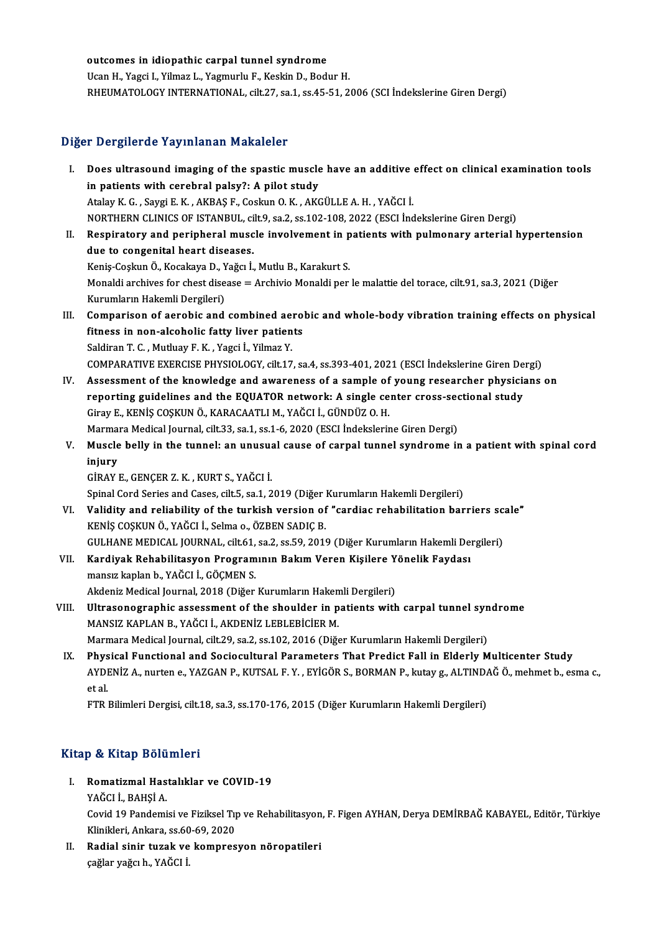outcomes in idiopathic carpal tunnel syndrome<br>Usen H. Vassi L. Vilman L. Vasmurlu E. Kaskin D. Badi Outcomes in idiopathic carpal tunnel syndrome<br>Ucan H., Yagci I., Yilmaz L., Yagmurlu F., Keskin D., Bodur H.<br>RHEUMATOLOGY INTERNATIONAL . 611:27, 88.1, 88.45, 51, 2 Ucan H., Yagci I., Yilmaz L., Yagmurlu F., Keskin D., Bodur H.<br>RHEUMATOLOGY INTERNATIONAL, cilt.27, sa.1, ss.45-51, 2006 (SCI İndekslerine Giren Dergi)

### Diğer Dergilerde Yayınlanan Makaleler

Iger Dergilerde Yayınlanan Makaleler<br>I. Does ultrasound imaging of the spastic muscle have an additive effect on clinical examination tools<br>in patients with serebral palsy? A pilot study in patients with cerebral palsy?: A pilot study<br>in patients with cerebral palsy?: A pilot study<br>Atalay K.C. Savgi E.K. AKRAS E. Coslain O.K. AKC Does ultrasound imaging of the spastic muscle have an additive<br>in patients with cerebral palsy?: A pilot study<br>Atalay K. G. , Saygi E. K. , AKBAŞ F., Coskun O. K. , AKGÜLLE A. H. , YAĞCI İ.<br>NOPTUERN CLINICS OF ISTANRUL. 61 in patients with cerebral palsy?: A pilot study<br>Atalay K. G. , Saygi E. K. , AKBAŞ F., Coskun O. K. , AKGÜLLE A. H. , YAĞCI İ.<br>NORTHERN CLINICS OF ISTANBUL, cilt.9, sa.2, ss.102-108, 2022 (ESCI İndekslerine Giren Dergi) Atalay K. G. , Saygi E. K. , AKBAŞ F., Coskun O. K. , AKGÜLLE A. H. , YAĞCI İ.<br>NORTHERN CLINICS OF ISTANBUL, cilt.9, sa.2, ss.102-108, 2022 (ESCI İndekslerine Giren Dergi)<br>II. Respiratory and peripheral muscle involvement NORTHERN CLINICS OF ISTANBUL, ci<br>Respiratory and peripheral musc<br>due to congenital heart diseases.<br>Kanis Coslun Ö. Kosakava D. Važar İ. Respiratory and peripheral muscle involvement in p<br>due to congenital heart diseases.<br>Keniş-Coşkun Ö., Kocakaya D., Yağcı İ., Mutlu B., Karakurt S.<br>Manakli arebiyes for sheet disease — Arebiyie Manakli ner due to congenital heart diseases.<br>Keniş-Coşkun Ö., Kocakaya D., Yağcı İ., Mutlu B., Karakurt S.<br>Monaldi archives for chest disease = Archivio Monaldi per le malattie del torace, cilt.91, sa.3, 2021 (Diğer<br>Kurumların Hakeml Keniş-Coşkun Ö., Kocakaya D., Yağcı İ., Mutlu B., Karakurt S. Monaldi archives for chest disease = Archivio Monaldi per le malattie del torace, cilt.91, sa.3, 2021 (Diğer<br>Kurumların Hakemli Dergileri)<br>III. Comparison of aerobic and combined aerobic and whole-body vibration training e Kurumların Hakemli Dergileri)<br>Comparison of aerobic and combined aero<br>fitness in non-alcoholic fatty liver patients<br>Seldinan T. C. Muthuau E. K., Vaggi İ. Vilman V. Comparison of aerobic and combined ae:<br>fitness in non-alcoholic fatty liver patien<br>Saldiran T.C., Mutluay F.K., Yagci İ., Yilmaz Y.<br>COMBARATIVE EXERCISE PHYSIOLOCY, sil: 17 fitness in non-alcoholic fatty liver patients<br>Saldiran T. C. , Mutluay F. K. , Yagci İ., Yilmaz Y.<br>COMPARATIVE EXERCISE PHYSIOLOGY, cilt.17, sa.4, ss.393-401, 2021 (ESCI İndekslerine Giren Dergi) Saldiran T. C., Mutluay F. K., Yagci İ., Yilmaz Y.<br>COMPARATIVE EXERCISE PHYSIOLOGY, cilt.17, sa.4, ss.393-401, 2021 (ESCI İndekslerine Giren Dergi)<br>IV. Assessment of the knowledge and awareness of a sample of young researc COMPARATIVE EXERCISE PHYSIOLOGY, cilt.17, sa.4, ss.393-401, 2021 (ESCI İndekslerine Giren De<br>Assessment of the knowledge and awareness of a sample of young researcher physicial<br>reporting guidelines and the EQUATOR network: Assessment of the knowledge and awareness of a sample of<br>reporting guidelines and the EQUATOR network: A single ce<br>Giray E., KENİŞ COŞKUN Ö., KARACAATLI M., YAĞCI İ., GÜNDÜZ O. H.<br>Marmara Madisəl Journal silt 33-sə 1-sə 1reporting guidelines and the EQUATOR network: A single center cross-sectional study<br>Giray E., KENİŞ COŞKUN Ö., KARACAATLI M., YAĞCI İ., GÜNDÜZ O. H. V. Muscle belly in the tunnel: an unusual cause of carpal tunnel syndrome in a patient with spinal cord injury Marmara Medical Journal, cilt.33, sa.1, ss.1-6, 2020 (ESCI İndekslerine Giren Dergi) GİRAYE.,GENÇERZ.K. ,KURTS.,YAĞCI İ. Spinal Cord Series and Cases, cilt.5, sa.1, 2019 (Diğer Kurumların Hakemli Dergileri) VI. Validity and reliability of the turkish version of "cardiac rehabilitation barriers scale" KENİŞCOŞKUNÖ.,YAĞCI İ.,Selma o.,ÖZBENSADIÇB. Validity and reliability of the turkish version of "cardiac rehabilitation barriers sc<br>KENİŞ COŞKUN Ö., YAĞCI İ., Selma o., ÖZBEN SADIÇ B.<br>GULHANE MEDICAL JOURNAL, cilt.61, sa.2, ss.59, 2019 (Diğer Kurumların Hakemli Dergi KENİŞ COŞKUN Ö., YAĞCI İ., Selma o., ÖZBEN SADIÇ B.<br>GULHANE MEDICAL JOURNAL, cilt.61, sa.2, ss.59, 2019 (Diğer Kurumların Hakemli De<br>VII. Kardiyak Rehabilitasyon Programının Bakım Veren Kişilere Yönelik Faydası<br>mansız GULHANE MEDICAL JOURNAL, cilt.61,<br>Kardiyak Rehabilitasyon Program<br>mansız kaplan b., YAĞCI İ., GÖÇMEN S.<br>Akdaniz Madisəl Journal, 2018 (Dižer VII. Kardiyak Rehabilitasyon Programının Bakım Veren Kişilere Yönelik Faydası<br>mansız kaplan b., YAĞCI İ., GÖÇMEN S.<br>Akdeniz Medical Journal, 2018 (Diğer Kurumların Hakemli Dergileri) mansız kaplan b., YAĞCI İ., GÖÇMEN S.<br>Akdeniz Medical Journal, 2018 (Diğer Kurumların Hakemli Dergileri)<br>VIII. Ultrasonographic assessment of the shoulder in patients with carpal tunnel syndrome<br>MANSIZ KABLAN B. YAĞCLİ Akdeniz Medical Journal, 2018 (Diğer Kurumların Haken<br>Ultrasonographic assessment of the shoulder in p<br>MANSIZ KAPLAN B., YAĞCI İ., AKDENİZ LEBLEBİCİER M.<br>Marmara Medical Journal, silt 29, sə 2, ss 102, 2016 (Diğe Ultrasonographic assessment of the shoulder in patients with carpal tunnel syn<br>MANSIZ KAPLAN B., YAĞCI İ., AKDENİZ LEBLEBİCİER M.<br>Marmara Medical Journal, cilt.29, sa.2, ss.102, 2016 (Diğer Kurumların Hakemli Dergileri)<br>Ph MANSIZ KAPLAN B., YAĞCI İ., AKDENİZ LEBLEBİCİER M.<br>Marmara Medical Journal, cilt.29, sa.2, ss.102, 2016 (Diğer Kurumların Hakemli Dergileri)<br>IX. Physical Functional and Sociocultural Parameters That Predict Fall in Eld Marmara Medical Journal, cilt.29, sa.2, ss.102, 2016 (Diğer Kurumların Hakemli Dergileri)<br><mark>Physical Functional and Sociocultural Parameters That Predict Fall in Elderly Multicenter Study</mark><br>AYDENİZ A., nurten e., YAZGAN P.,

Phys<br>AYDI<br>et al.<br>ETB AYDENİZ A., nurten e., YAZGAN P., KUTSAL F. Y. , EYİGÖR S., BORMAN P., kutay g., ALTIND*!*<br>et al.<br>FTR Bilimleri Dergisi, cilt.18, sa.3, ss.170-176, 2015 (Diğer Kurumların Hakemli Dergileri)

FTR Bilimleri Dergisi, cilt.18, sa.3, ss.170-176, 2015 (Diğer Kurumların Hakemli Dergileri)<br>Kitap & Kitap Bölümleri

I. Romatizmal Hastalıklar ve COVID-19 y & Hitap Bord<br>Romatizmal Has<br>YAĞCI İ., BAHŞİ A.

Romatizmal Hastalıklar ve COVID-19<br>YAĞCI İ., BAHŞİ A.<br>Covid 19 Pandemisi ve Fiziksel Tıp ve Rehabilitasyon, F. Figen AYHAN, Derya DEMİRBAĞ KABAYEL, Editör, Türkiye YAĞCI İ., BAHŞİ A.<br>Covid 19 Pandemisi ve Fiziksel Tıp<br>Klinikleri, Ankara, ss.60-69, 2020<br>Padial sinin turak ve kompnes Klinikleri, Ankara, ss.60-69, 2020

II. Radial sinir tuzak ve kompresyon nöropatileri<br>çağlar yağcı h., YAĞCI İ.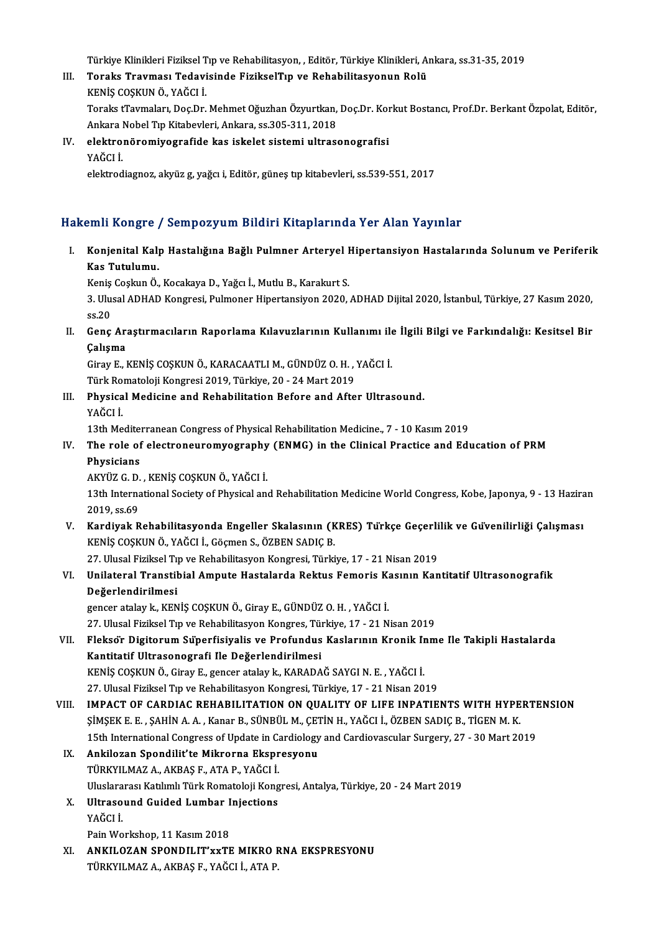Türkiye Klinikleri Fiziksel Tıp ve Rehabilitasyon, , Editör, Türkiye Klinikleri, Ankara, ss.31-35, 2019

Türkiye Klinikleri Fiziksel Tıp ve Rehabilitasyon, , Editör, Türkiye Klinikleri, Aı<br>III. Toraks Travması Tedavisinde FizikselTıp ve Rehabilitasyonun Rolü<br>KENİS COSKUN Ö, YAČCI İ Türkiye Klinikleri Fiziksel T<br><mark>Toraks Travması Tedavi</mark><br>KENİŞ COŞKUN Ö., YAĞCI İ.<br>Taraka tTaymaları, Des Dr Toraks Travması Tedavisinde FizikselTıp ve Rehabilitasyonun Rolü<br>KENİŞ COŞKUN Ö., YAĞCI İ.<br>Toraks tTavmaları, Doç.Dr. Mehmet Oğuzhan Özyurtkan, Doç.Dr. Korkut Bostancı, Prof.Dr. Berkant Özpolat, Editör, KENİŞ COŞKUN Ö., YAĞCI İ.<br>Toraks tTavmaları, Doç.Dr. Mehmet Oğuzhan Özyurtkan,<br>Ankara Nobel Tıp Kitabevleri, Ankara, ss.305-311, 2018<br>Alektronöromiye srafide kas iskelet sistemi ultrası

Ankara Nobel Tıp Kitabevleri, Ankara, ss.305-311, 2018

IV. elektronöromiyografide kas iskelet sistemi ultrasonografisi elektrodiagnoz, akyüz g, yağcı i, Editör, güneş tıp kitabevleri, ss.539-551, 2017

## Hakemli Kongre / Sempozyum Bildiri Kitaplarında Yer Alan Yayınlar

akemli Kongre / Sempozyum Bildiri Kitaplarında Yer Alan Yayınlar<br>I. Konjenital Kalp Hastalığına Bağlı Pulmner Arteryel Hipertansiyon Hastalarında Solunum ve Periferik<br>Kes Tutulumu 2001 Nongre<br>Konjenital Kal<sub>l</sub><br>Kas Tutulumu.<br><sup>Konje Cochun Ö</sup> Konjenital Kalp Hastalığına Bağlı Pulmner Arteryel I<br>Kas Tutulumu.<br>Keniş Coşkun Ö., Kocakaya D., Yağcı İ., Mutlu B., Karakurt S.<br><sup>2. Ulugal ADHAD Kongresi Pulmonon Hinertonsiyon 2020</sup>

Kas Tutulumu.<br>Keniş Coşkun Ö., Kocakaya D., Yağcı İ., Mutlu B., Karakurt S.<br>3. Ulusal ADHAD Kongresi, Pulmoner Hipertansiyon 2020, ADHAD Dijital 2020, İstanbul, Türkiye, 27 Kasım 2020, Keniş<br>3. Ulu:<br>ss.20 3. Ulusal ADHAD Kongresi, Pulmoner Hipertansiyon 2020, ADHAD Dijital 2020, İstanbul, Türkiye, 27 Kasım 2020, ss.20<br>5.20<br>II. Genç Araştırmacıların Raporlama Kılavuzlarının Kullanımı ile İlgili Bilgi ve Farkındalığı: Kes

ss.20<br>Genç Ara<br>Çalışma Genç Araştırmacıların Raporlama Kılavuzlarının Kullanımı ile<br>Çalışma<br>Giray E., KENİŞ COŞKUN Ö., KARACAATLI M., GÜNDÜZ O. H. , YAĞCI İ.<br>Türk Bomatoloji Kongresi 2019, Türkiye 20, 24 Mart 2019

Çalışma<br>Giray E., KENİŞ COŞKUN Ö., KARACAATLI M., GÜNDÜZ O. H. , YAĞCI İ.

Türk Romatoloji Kongresi 2019, Türkiye, 20 - 24 Mart 2019

III. Physical Medicine and Rehabilitation Before and After Ultrasound.<br>YAĞCI İ. Physical Medicine and Rehabilitation Before and After Ultrasound.<br>YAĞCI İ.<br>13th Mediterranean Congress of Physical Rehabilitation Medicine., 7 - 10 Kasım 2019<br>The role of electroneuromyography (ENMC) in the Clinical Prosti

IV. The role of electroneuromyography (ENMG) in the Clinical Practice and Education of PRM 13th Medite:<br>The role of<br>Physicians<br>AKYÜZ C D The role of electroneuromyography<br>Physicians<br>AKYÜZ G. D. , KENİŞ COŞKUN Ö., YAĞCI İ.<br>12th International Sosiaty of Physical anı

13th International Society of Physical and Rehabilitation Medicine World Congress, Kobe, Japonya, 9 - 13 Haziran<br>2019. ss.69 AKYÜZ G. D.<br>13th Interna<br>2019, ss.69<br>Kandiyak B 13th International Society of Physical and Rehabilitation Medicine World Congress, Kobe, Japonya, 9 - 13 Hazira<br>2019, ss.69<br>V. Kardiyak Rehabilitasyonda Engeller Skalasının (KRES) Türkçe Geçerlilik ve Güvenilirliği Çalışma

2019, ss.69<br>Kardiyak Rehabilitasyonda Engeller Skalasının (K<br>KENİŞ COŞKUN Ö., YAĞCI İ., Göçmen S., ÖZBEN SADIÇ B.<br>27. Ulusel Eirikael Tın ve Behabilitasyon Kongresi Türki Kardiyak Rehabilitasyonda Engeller Skalasının (KRES) Türkçe Geçerli<br>KENİŞ COŞKUN Ö., YAĞCI İ., Göçmen S., ÖZBEN SADIÇ B.<br>27. Ulusal Fiziksel Tıp ve Rehabilitasyon Kongresi, Türkiye, 17 - 21 Nisan 2019<br>Unilatenal Tranatibia

# KENİŞ COŞKUN Ö., YAĞCI İ., Göçmen S., ÖZBEN SADIÇ B.<br>27. Ulusal Fiziksel Tıp ve Rehabilitasyon Kongresi, Türkiye, 17 - 21 Nisan 2019<br>VI. Unilateral Transtibial Ampute Hastalarda Rektus Femoris Kasının Kantitatif Ultras 27. Ulusal Fiziksel Ti<br>Unilateral Transtil<br>Değerlendirilmesi<br>Zancaratalaylı KEN D<mark>eğerlendirilmesi</mark><br>gencer atalay k., KENİŞ COŞKUN Ö., Giray E., GÜNDÜZ O. H. , YAĞCI İ.<br>27. Ulusal Fiziksel Tıp ve Rehabilitasyon Kongres, Türkiye, 17 - 21 Nisan 2019<br>Flaksa'r Digitarum Süperfisiyaliş ve Profundus Kaslaru

Değerlendirilmesi<br>gencer atalay k., KENİŞ COŞKUN Ö., Giray E., GÜNDÜZ O. H. , YAĞCI İ.

VII. Fleksör Digitorum Süperfisiyalis ve Profundus Kaslarının Kronik Inme İle Takipli Hastalarda<br>Kantitatif Ultrasonografi İle Değerlendirilmesi 27. Ulusal Fiziksel Tıp ve Rehabilitasyon Kongres, Türkist<br>Fleksor Digitorum Superfisiyalis ve Profundus<br>Kantitatif Ultrasonografi Ile Değerlendirilmesi<br>KENİS COSKUN Ö. Cirav E. Sansar atalav k. KARADA Fleksőr Digitorum Süperfisiyalis ve Profundus Kaslarının Kronik Ir<br>Kantitatif Ultrasonografi Ile Değerlendirilmesi<br>KENİŞ COŞKUN Ö., Giray E., gencer atalay k., KARADAĞ SAYGI N. E. , YAĞCI İ.<br>27 Hlucel Firikael Tın ve Behab Kantitatif Ultrasonografi Ile Değerlendirilmesi<br>KENİŞ COŞKUN Ö., Giray E., gencer atalay k., KARADAĞ SAYGI N. E. , YAĞCI İ.<br>27. Ulusal Fiziksel Tıp ve Rehabilitasyon Kongresi, Türkiye, 17 - 21 Nisan 2019<br>IMBACT OE CARDIAC

27. Ulusal Fiziksel Tip ve Rehabilitasyon Kongresi, Türkiye, 17 - 21 Nisan 2019<br>VIII. IMPACT OF CARDIAC REHABILITATION ON QUALITY OF LIFE INPATIENTS WITH HYPERTENSION 27. Ulusal Fiziksel Tıp ve Rehabilitasyon Kongresi, Türkiye, 17 - 21 Nisan 2019<br>IMPACT OF CARDIAC REHABILITATION ON QUALITY OF LIFE INPATIENTS WITH HYPE<br>ŞİMŞEK E. E. , ŞAHİN A. A. , Kanar B., SÜNBÜL M., ÇETİN H., YAĞCI İ., IMPACT OF CARDIAC REHABILITATION ON QUALITY OF LIFE INPATIENTS WITH HYPERTI<br>SIMSEK E. E. , SAHIN A. A. , Kanar B., SÜNBÜL M., ÇETİN H., YAĞCI İ., ÖZBEN SADIÇ B., TİGEN M. K.<br>15th International Congress of Update in Cardiol 15th International Congress of Update in Cardiology and Cardiovascular Surgery, 27 - 30 Mart 2019<br>IX. Ankilozan Spondilit'te Mikrorna Ekspresyonu

## 15th International Congress of Update in Canadia<br>Ankilozan Spondilit'te Mikrorna Ekspr<br>TÜRKYILMAZ A., AKBAŞ F., ATA P., YAĞCI İ. Ankilozan Spondilit'te Mikrorna Ekspresyonu<br>TÜRKYILMAZ A., AKBAŞ F., ATA P., YAĞCI İ.<br>Uluslararası Katılımlı Türk Romatoloji Kongresi, Antalya, Türkiye, 20 - 24 Mart 2019<br>Ultresound Guided Lumbar Injestione TÜRKYILMAZ A., AKBAŞ F., ATA P., YAĞCI İ.<br>Uluslararası Katılımlı Türk Romatoloji Kong<br>X. Ultrasound Guided Lumbar Injections<br>VAĞCI İ

- Uluslara<br><mark>Ultraso</mark><br>YAĞCI İ. X. Ultrasound Guided Lumbar Injections<br>YAĞCI İ.<br>Pain Workshop, 11 Kasım 2018
- XI. ANKILOZAN SPONDILIT'xxTE MIKRO RNA EKSPRESYONU TÜRKYILMAZA.,AKBAŞ F.,YAĞCI İ.,ATAP.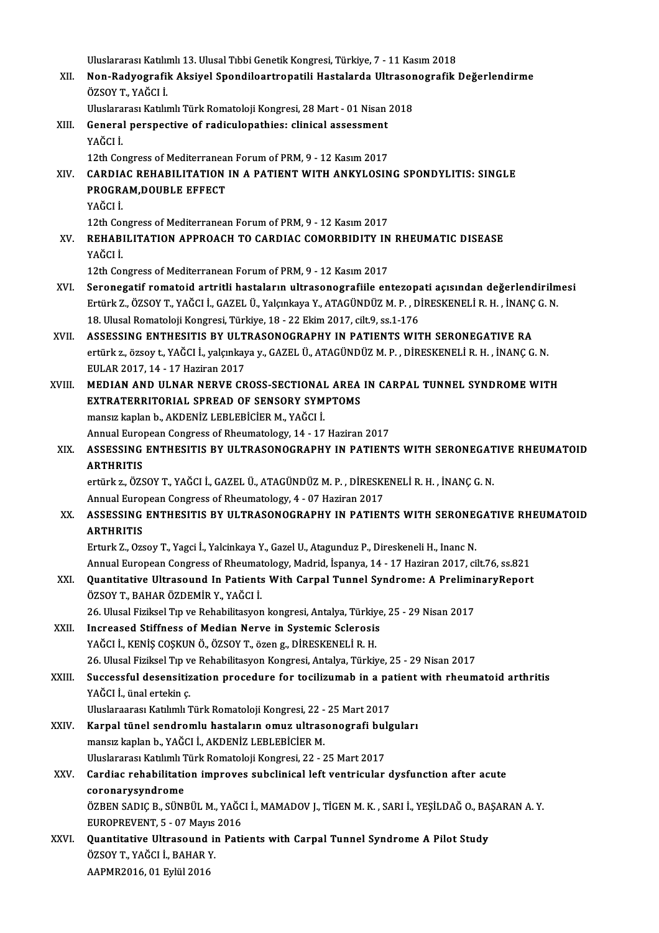Uluslararası Katılımlı 13. Ulusal Tıbbi Genetik Kongresi, Türkiye, 7 - 11 Kasım 2018

- Vluslararası Katılımlı 13. Ulusal Tıbbi Genetik Kongresi, Türkiye, 7 11 Kasım 2018<br>XII. Non-Radyografik Aksiyel Spondiloartropatili Hastalarda Ultrasonografik Değerlendirme<br>ÖZSOV T. YAČCLİ ÖZSOYT.,YAĞCI İ. Non-Radyografik Aksiyel Spondiloartropatili Hastalarda Ultrasor<br>ÖZSOY T., YAĞCI İ.<br>Uluslararası Katılımlı Türk Romatoloji Kongresi, 28 Mart - 01 Nisan 2018<br>Coneral nerenastiye of radisulenathies: slinisal assessment
	-
- ÖZSOY T., YAĞCI İ.<br>Uluslararası Katılımlı Türk Romatoloji Kongresi, 28 Mart 01 Nisan<br>XIII. General perspective of radiculopathies: clinical assessment<br>VAĞCI İ Uluslararası Katılımlı Türk Romatoloji Kongresi, 28 Mart - 01 Nisan 2018<br>General perspective of radiculopathies: clinical assessment<br>YAĞCI İ.<br>12th Congress of Mediterranean Forum of PRM, 9 - 12 Kasım 2017 12thConeral perspective of radiculopathies: clinical assessment<br>12th Congress of Mediterranean Forum of PRM, 9 - 12 Kasım 2017<br>CARDIAC REHABU ITATION IN A RATIENT WITH ANKVI OSIN
- YAĞCI İ.<br>12th Congress of Mediterranean Forum of PRM, 9 12 Kasım 2017<br>XIV. CARDIAC REHABILITATION IN A PATIENT WITH ANKYLOSING SPONDYLITIS: SINGLE<br>REACEAM DOUBLE EFFECT 12th Congress of Mediterranea<br>CARDIAC REHABILITATION<br>PROGRAM,DOUBLE EFFECT<br>YAČCI I CARDIA<br>PROGRA<br>YAĞCI İ. PROGRAM,DOUBLE EFFECT<br>YAĞCI İ.<br>12th Congress of Mediterranean Forum of PRM, 9 - 12 Kasım 2017<br>PEHARU ITATION APPROACH TO CARDIAC COMORRIDITY IN

YAĞCI İ.<br>12th Congress of Mediterranean Forum of PRM, 9 - 12 Kasım 2017<br>XV. REHABILITATION APPROACH TO CARDIAC COMORBIDITY IN RHEUMATIC DISEASE<br>YAĞCI İ. 12th Con<br>**REHAB**<br>YAĞCI İ.

12th Congress of Mediterranean Forum of PRM, 9 - 12 Kasım 2017

- XVI. Seronegatif romatoid artritli hastaların ultrasonografiile entezopati açısından değerlendirilmesi 12th Congress of Mediterranean Forum of PRM, 9 - 12 Kasım 2017<br>Seronegatif romatoid artritli hastaların ultrasonografiile entezopati açısından değerlendirilm<br>Ertürk Z., ÖZSOY T., YAĞCI İ., GAZEL Ü., Yalçınkaya Y., ATAGÜNDÜ Seronegatif romatoid artritli hastaların ultrasonografiile entezopa<br>Ertürk Z., ÖZSOY T., YAĞCI İ., GAZEL Ü., Yalçınkaya Y., ATAGÜNDÜZ M. P. , D.<br>18. Ulusal Romatoloji Kongresi, Türkiye, 18 - 22 Ekim 2017, cilt.9, ss.1-176<br> Ertürk Z., ÖZSOY T., YAĞCI İ., GAZEL Ü., Yalçınkaya Y., ATAGÜNDÜZ M. P. , DİRESKENELİ R. H. , İNANÇ<br>18. Ulusal Romatoloji Kongresi, Türkiye, 18 - 22 Ekim 2017, cilt.9, ss.1-176<br>XVII. ASSESSING ENTHESITIS BY ULTRASONOGRAPHY
- 18. Ulusal Romatoloji Kongresi, Türkiye, 18 22 Ekim 2017, cilt.9, ss.1-176<br>ASSESSING ENTHESITIS BY ULTRASONOGRAPHY IN PATIENTS WITH SERONEGATIVE RA<br>ertürk z., özsoy t., YAĞCI İ., yalçınkaya y., GAZEL Ü., ATAGÜNDÜZ M. P. ASSESSING ENTHESITIS BY ULT<br>ertürk z., özsoy t., YAĞCI İ., yalçınkay<br>EULAR 2017, 14 - 17 Haziran 2017<br>MEDIAN AND III NAP NEPVE CP EULAR 2017, 14 - 17 Haziran 2017<br>XVIII. MEDIAN AND ULNAR NERVE CROSS-SECTIONAL AREA IN CARPAL TUNNEL SYNDROME WITH
- EXTRATERRITORIAL SPREAD OF SENSORY SYMPTOMS mansızkaplanb.,AKDENİZ LEBLEBİCİERM.,YAĞCI İ. EXTRATERRITORIAL SPREAD OF SENSORY SYMPTOMS<br>mansız kaplan b., AKDENİZ LEBLEBİCİER M., YAĞCI İ.<br>Annual European Congress of Rheumatology, 14 - 17 Haziran 2017<br>ASSESSING ENTHESITIS PY III TRASONOGRAPHY IN RATIENT mansız kaplan b., AKDENİZ LEBLEBİCİER M., YAĞCI İ.<br>Annual European Congress of Rheumatology, 14 - 17 Haziran 2017<br>XIX. ASSESSING ENTHESITIS BY ULTRASONOGRAPHY IN PATIENTS WITH SERONEGATIVE RHEUMATOID<br>ARTURITIS
- Annual Euro<sub>l</sub><br>ASSESSING<br>ARTHRITIS<br>ortürk z. ÖZS ASSESSING ENTHESITIS BY ULTRASONOGRAPHY IN PATIENTS WITH SERONEGAT<br>ARTHRITIS<br>ertürk z., ÖZSOY T., YAĞCI İ., GAZEL Ü., ATAGÜNDÜZ M. P. , DİRESKENELİ R. H. , İNANÇ G. N.<br>Annual European Congress of Bhoumatology 4 , 07 Hegira

ARTHRITIS<br>ertürk z., ÖZSOY T., YAĞCI İ., GAZEL Ü., ATAGÜNDÜZ M. P. , DİRESKENELİ R. H. , İNANÇ G. N.<br>Annual European Congress of Rheumatology, 4 - 07 Haziran 2017 ertürk z., ÖZSOY T., YAĞCI İ., GAZEL Ü., ATAGÜNDÜZ M. P. , DİRESKENELİ R. H. , İNANÇ G. N.<br>Annual European Congress of Rheumatology, 4 - 07 Haziran 2017<br>XX. ASSESSING ENTHESITIS BY ULTRASONOGRAPHY IN PATIENTS WITH SERO

Annual Euro<sub>l</sub><br>ASSESSING<br>ARTHRITIS<br>Erturk 7, Ozs ASSESSING ENTHESITIS BY ULTRASONOGRAPHY IN PATIENTS WITH SERONE<br>ARTHRITIS<br>Erturk Z., Ozsoy T., Yagci İ., Yalcinkaya Y., Gazel U., Atagunduz P., Direskeneli H., Inanc N.<br>Annual European Congress of Phoumatelegy, Medrid, İsp ARTHRITIS<br>Erturk Z., Ozsoy T., Yagci İ., Yalcinkaya Y., Gazel U., Atagunduz P., Direskeneli H., Inanc N.<br>Annual European Congress of Rheumatology, Madrid, İspanya, 14 - 17 Haziran 2017, cilt.76, ss.821<br>Quantitative Ultrase

Erturk Z., Ozsoy T., Yagci İ., Yalcinkaya Y., Gazel U., Atagunduz P., Direskeneli H., Inanc N.<br>Annual European Congress of Rheumatology, Madrid, İspanya, 14 - 17 Haziran 2017, cilt.76, ss.821<br>XXI. Quantitative Ultrasound I Annual European Congress of Rheumat<br>**Quantitative Ultrasound In Patients**<br>ÖZSOY T., BAHAR ÖZDEMİR Y., YAĞCI İ.<br>26 Hlusal Eirikasl Tın ve Bababilitasyon Quantitative Ultrasound In Patients With Carpal Tunnel Syndrome: A Prelimin<br>ÖZSOY T., BAHAR ÖZDEMİR Y., YAĞCI İ.<br>26. Ulusal Fiziksel Tıp ve Rehabilitasyon kongresi, Antalya, Türkiye, 25 - 29 Nisan 2017<br>Inanasasad Stiffnass

- ÖZSOY T., BAHAR ÖZDEMİR Y., YAĞCI İ.<br>26. Ulusal Fiziksel Tıp ve Rehabilitasyon kongresi, Antalya, Türkiye<br>XXII. Increased Stiffness of Median Nerve in Systemic Sclerosis<br>VAĞCLİ, KENİŞ COŞKUN Ö. ÖZSOY T. ÖZƏR G. DİRESKE 26. Ulusal Fiziksel Tıp ve Rehabilitasyon kongresi, Antalya, Türkiy<br>Increased Stiffness of Median Nerve in Systemic Sclerosis<br>YAĞCI İ., KENİŞ COŞKUN Ö., ÖZSOY T., özen g., DİRESKENELİ R. H.<br>26. Ulusal Firiksel Tıp ve Behab Increased Stiffness of Median Nerve in Systemic Sclerosis<br>YAĞCI İ., KENİŞ COŞKUN Ö., ÖZSOY T., özen g., DİRESKENELİ R. H.<br>26. Ulusal Fiziksel Tıp ve Rehabilitasyon Kongresi, Antalya, Türkiye, 25 - 29 Nisan 2017<br>Sussessful
- YAĞCI İ., KENİŞ COŞKUN Ö., ÖZSOY T., özen g., DİRESKENELİ R. H.<br>26. Ulusal Fiziksel Tıp ve Rehabilitasyon Kongresi, Antalya, Türkiye, 25 29 Nisan 2017<br>XXIII. Successful desensitization procedure for tocilizumab in a 26. Ulusal Fiziksel Tıp v<br>Successful desensitiz<br>YAĞCI İ., ünal ertekin ç.<br>Uluslaraarası Katılımlı I Successful desensitization procedure for tocilizumab in a pa<br>YAĞCI İ., ünal ertekin ç.<br>Uluslaraarası Katılımlı Türk Romatoloji Kongresi, 22 - 25 Mart 2017<br>Karpel tünel sendremlu besteların omuz ultrasenegrefi bula

YAĞCI İ., ünal ertekin ç.<br>Uluslaraarası Katılımlı Türk Romatoloji Kongresi, 22 - 25 Mart 2017<br>XXIV. Karpal tünel sendromlu hastaların omuz ultrasonografi bulguları<br>mansız kaplan b. YAĞÇI İ. AKDENİZ LEPLERİCER M Uluslaraarası Katılımlı Türk Romatoloji Kongresi, 22 -<br>Karpal tünel sendromlu hastaların omuz ultras<br>mansız kaplan b., YAĞCI İ., AKDENİZ LEBLEBİCİER M.<br>Uluslararası Katılımlı Türk Bomatoloji Kongresi, 22 - 2 Karpal tünel sendromlu hastaların omuz ultrasonografi bul<br>mansız kaplan b., YAĞCI İ., AKDENİZ LEBLEBİCİER M.<br>Uluslararası Katılımlı Türk Romatoloji Kongresi, 22 - 25 Mart 2017<br>Cardias rahabilitation imnesyes subelinisel le Uluslararası Katılımlı Türk Romatoloji Kongresi, 22 - 25 Mart 2017

# mansız kaplan b., YAĞCI İ., AKDENİZ LEBLEBİCİER M.<br>Uluslararası Katılımlı Türk Romatoloji Kongresi, 22 - 25 Mart 2017<br>XXV. Cardiac rehabilitation improves subclinical left ventricular dysfunction after acute<br>coronarysy Cardiac rehabilitation improves subclinical left ventricular dysfunction after acute<br>coronarysyndrome<br>ÖZBEN SADIÇ B., SÜNBÜL M., YAĞCI İ., MAMADOV J., TİGEN M. K. , SARI İ., YEŞİLDAĞ O., BAŞARAN A. Y.<br>FUROPREVENT E., 07 Ma

coronarysyndrome<br>ÖZBEN SADIÇ B., SÜNBÜL M., YAĞC<br>EUROPREVENT, 5 - 07 Mayıs 2016<br>Quantitative Ultraseund in Bati ÖZBEN SADIÇ B., SÜNBÜL M., YAĞCI İ., MAMADOV J., TİGEN M. K. , SARI İ., YEŞİLDAĞ O., BA<br>EUROPREVENT, 5 - 07 Mayıs 2016<br>XXVI. Quantitative Ultrasound in Patients with Carpal Tunnel Syndrome A Pilot Study<br>ÖZSOV T. YAĞÇLİ, PA

EUROPREVENT, 5 - 07 Mayıs<br>Quantitative Ultrasound in<br>ÖZSOY T., YAĞCI İ., BAHAR Y.<br>AAPMP2016, 01 Evlül 2016 Quantitative Ultrasound<br>ÖZSOY T., YAĞCI İ., BAHAR 1<br>AAPMR2016, 01 Eylül 2016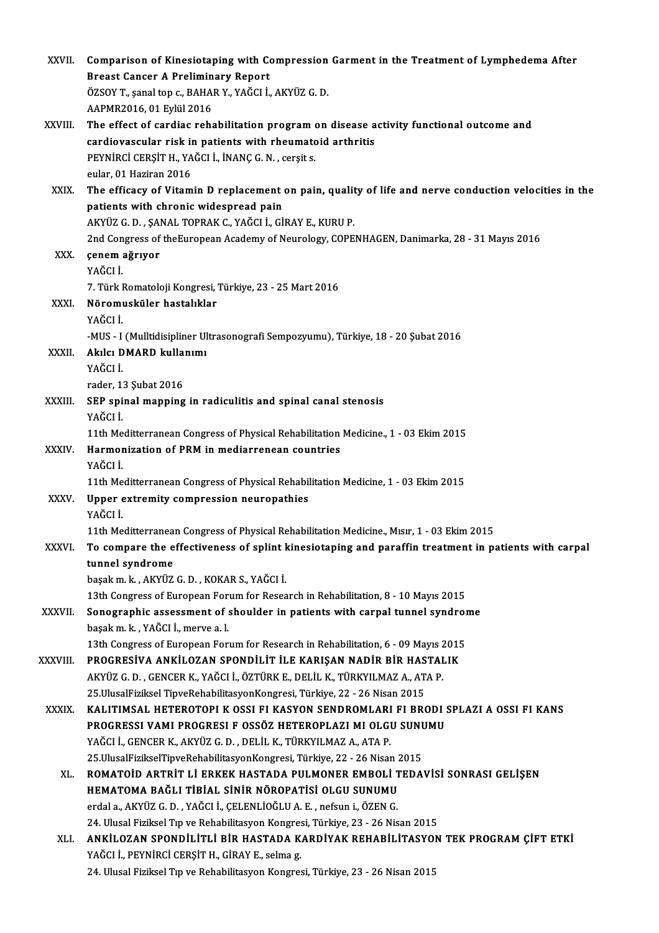| XXVII.       | Comparison of Kinesiotaping with Compression Garment in the Treatment of Lymphedema After<br><b>Breast Cancer A Preliminary Report</b>                             |
|--------------|--------------------------------------------------------------------------------------------------------------------------------------------------------------------|
|              | ÖZSOY T., şanal top c., BAHAR Y., YAĞCI İ., AKYÜZ G. D.<br>AAPMR2016, 01 Eylül 2016                                                                                |
| XXVIII.      | The effect of cardiac rehabilitation program on disease activity functional outcome and                                                                            |
|              | cardiovascular risk in patients with rheumatoid arthritis<br>PEYNIRCI CERȘIT H., YAĞCI İ., İNANÇ G. N., cerșit s.                                                  |
|              | eular, 01 Haziran 2016                                                                                                                                             |
| XXIX.        | The efficacy of Vitamin D replacement on pain, quality of life and nerve conduction velocities in the                                                              |
|              | patients with chronic widespread pain<br>AKYÜZ G. D. , ŞANAL TOPRAK C., YAĞCI İ., GİRAY E., KURU P.                                                                |
|              | 2nd Congress of the European Academy of Neurology, COPENHAGEN, Danimarka, 28 - 31 Mayıs 2016                                                                       |
| XXX.         | çenem ağrıyor                                                                                                                                                      |
|              | YAĞCI İ                                                                                                                                                            |
| XXXI.        | 7. Türk Romatoloji Kongresi, Türkiye, 23 - 25 Mart 2016<br>Nöromusküler hastalıklar                                                                                |
|              | YAĞCI İ                                                                                                                                                            |
|              | -MUS - I (Mulltidisipliner Ultrasonografi Sempozyumu), Türkiye, 18 - 20 Şubat 2016                                                                                 |
| XXXII.       | Akılcı DMARD kullanımı<br>YAĞCI İ                                                                                                                                  |
|              | rader, 13 Şubat 2016                                                                                                                                               |
| XXXIII.      | SEP spinal mapping in radiculitis and spinal canal stenosis                                                                                                        |
|              | YAĞCI İ.<br>11th Meditterranean Congress of Physical Rehabilitation Medicine., 1 - 03 Ekim 2015                                                                    |
| <b>XXXIV</b> | Harmonization of PRM in mediarrenean countries                                                                                                                     |
|              | YAĞCI İ                                                                                                                                                            |
| XXXV.        | 11th Meditterranean Congress of Physical Rehabilitation Medicine, 1 - 03 Ekim 2015<br>Upper extremity compression neuropathies                                     |
|              | YAĞCI İ.                                                                                                                                                           |
|              | 11th Meditterranean Congress of Physical Rehabilitation Medicine., Mısır, 1 - 03 Ekim 2015                                                                         |
| <b>XXXVI</b> | To compare the effectiveness of splint kinesiotaping and paraffin treatment in patients with carpal<br>tunnel syndrome                                             |
|              | başak m. k., AKYÜZ G. D., KOKAR S., YAĞCI İ.                                                                                                                       |
|              | 13th Congress of European Forum for Research in Rehabilitation, 8 - 10 Mayıs 2015                                                                                  |
| XXXVII.      | Sonographic assessment of shoulder in patients with carpal tunnel syndrome<br>başak m. k., YAĞCI İ., merve a. l.                                                   |
|              | 13th Congress of European Forum for Research in Rehabilitation, 6 - 09 Mayıs 2015                                                                                  |
| XXXVIII.     | PROGRESIVA ANKILOZAN SPONDILIT ILE KARIŞAN NADIR BIR HASTALIK                                                                                                      |
|              | AKYÜZ G. D., GENCER K., YAĞCI İ., ÖZTÜRK E., DELİL K., TÜRKYILMAZ A., ATA P.<br>25. UlusalFiziksel TipveRehabilitasyonKongresi, Türkiye, 22 - 26 Nisan 2015        |
| <b>XXXIX</b> | KALITIMSAL HETEROTOPI K OSSI FI KASYON SENDROMLARI FI BRODI SPLAZI A OSSI FI KANS                                                                                  |
|              | PROGRESSI VAMI PROGRESI F OSSÖZ HETEROPLAZI MI OLGU SUNUMU                                                                                                         |
|              | YAĞCI İ., GENCER K., AKYÜZ G. D. , DELİL K., TÜRKYILMAZ A., ATA P.                                                                                                 |
| XL.          | 25. UlusalFizikselTipveRehabilitasyonKongresi, Türkiye, 22 - 26 Nisan 2015<br>ROMATOID ARTRIT LI ERKEK HASTADA PULMONER EMBOLI TEDAVISI SONRASI GELIŞEN            |
|              | HEMATOMA BAĞLI TİBİAL SİNİR NÖROPATİSİ OLGU SUNUMU                                                                                                                 |
|              | erdal a., AKYÜZ G. D., YAĞCI İ., ÇELENLİOĞLU A. E., nefsun i., ÖZEN G.                                                                                             |
| XLI.         | 24. Ulusal Fiziksel Tıp ve Rehabilitasyon Kongresi, Türkiye, 23 - 26 Nisan 2015<br>ANKİLOZAN SPONDİLİTLİ BİR HASTADA KARDİYAK REHABİLİTASYON TEK PROGRAM ÇİFT ETKİ |
|              | YAĞCI İ., PEYNIRCİ CERŞİT H., GİRAY E., selma g.                                                                                                                   |
|              | 24. Ulusal Fiziksel Tıp ve Rehabilitasyon Kongresi, Türkiye, 23 - 26 Nisan 2015                                                                                    |